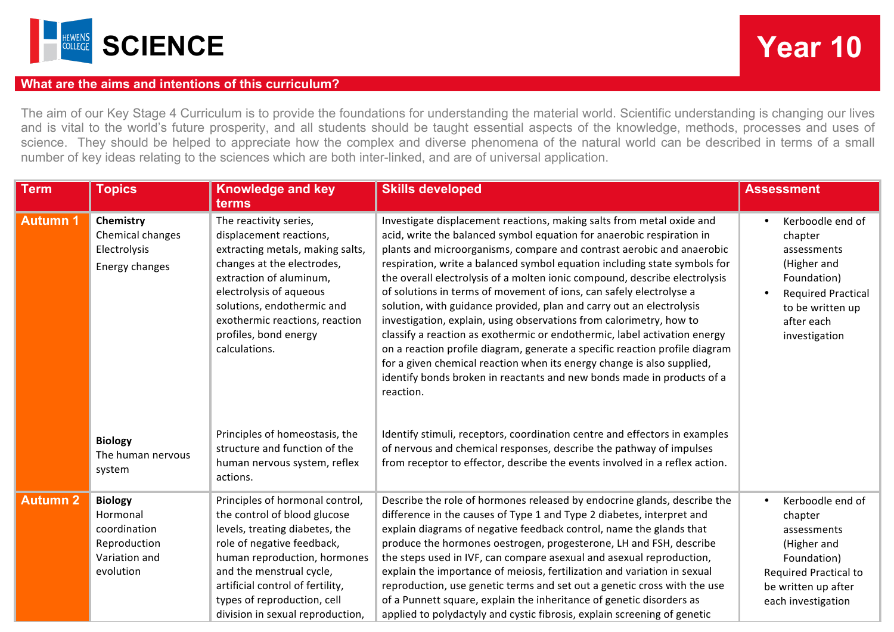

## **What are the aims and intentions of this curriculum?**

The aim of our Key Stage 4 Curriculum is to provide the foundations for understanding the material world. Scientific understanding is changing our lives and is vital to the world's future prosperity, and all students should be taught essential aspects of the knowledge, methods, processes and uses of science. They should be helped to appreciate how the complex and diverse phenomena of the natural world can be described in terms of a small number of key ideas relating to the sciences which are both inter-linked, and are of universal application.

| <b>Term</b>     | <b>Topics</b>                                                                            | <b>Knowledge and key</b><br>terms                                                                                                                                                                                                                                                                  | <b>Skills developed</b>                                                                                                                                                                                                                                                                                                                                                                                                                                                                                                                                                                                                                                                                                                                                                                                                                                                                                                               | <b>Assessment</b>                                                                                                                                        |
|-----------------|------------------------------------------------------------------------------------------|----------------------------------------------------------------------------------------------------------------------------------------------------------------------------------------------------------------------------------------------------------------------------------------------------|---------------------------------------------------------------------------------------------------------------------------------------------------------------------------------------------------------------------------------------------------------------------------------------------------------------------------------------------------------------------------------------------------------------------------------------------------------------------------------------------------------------------------------------------------------------------------------------------------------------------------------------------------------------------------------------------------------------------------------------------------------------------------------------------------------------------------------------------------------------------------------------------------------------------------------------|----------------------------------------------------------------------------------------------------------------------------------------------------------|
| <b>Autumn 1</b> | Chemistry<br>Chemical changes<br>Electrolysis<br>Energy changes                          | The reactivity series,<br>displacement reactions,<br>extracting metals, making salts,<br>changes at the electrodes,<br>extraction of aluminum,<br>electrolysis of aqueous<br>solutions, endothermic and<br>exothermic reactions, reaction<br>profiles, bond energy<br>calculations.                | Investigate displacement reactions, making salts from metal oxide and<br>acid, write the balanced symbol equation for anaerobic respiration in<br>plants and microorganisms, compare and contrast aerobic and anaerobic<br>respiration, write a balanced symbol equation including state symbols for<br>the overall electrolysis of a molten ionic compound, describe electrolysis<br>of solutions in terms of movement of ions, can safely electrolyse a<br>solution, with guidance provided, plan and carry out an electrolysis<br>investigation, explain, using observations from calorimetry, how to<br>classify a reaction as exothermic or endothermic, label activation energy<br>on a reaction profile diagram, generate a specific reaction profile diagram<br>for a given chemical reaction when its energy change is also supplied,<br>identify bonds broken in reactants and new bonds made in products of a<br>reaction. | Kerboodle end of<br>chapter<br>assessments<br>(Higher and<br>Foundation)<br><b>Required Practical</b><br>to be written up<br>after each<br>investigation |
|                 | <b>Biology</b><br>The human nervous<br>system                                            | Principles of homeostasis, the<br>structure and function of the<br>human nervous system, reflex<br>actions.                                                                                                                                                                                        | Identify stimuli, receptors, coordination centre and effectors in examples<br>of nervous and chemical responses, describe the pathway of impulses<br>from receptor to effector, describe the events involved in a reflex action.                                                                                                                                                                                                                                                                                                                                                                                                                                                                                                                                                                                                                                                                                                      |                                                                                                                                                          |
| <b>Autumn 2</b> | <b>Biology</b><br>Hormonal<br>coordination<br>Reproduction<br>Variation and<br>evolution | Principles of hormonal control,<br>the control of blood glucose<br>levels, treating diabetes, the<br>role of negative feedback,<br>human reproduction, hormones<br>and the menstrual cycle,<br>artificial control of fertility,<br>types of reproduction, cell<br>division in sexual reproduction, | Describe the role of hormones released by endocrine glands, describe the<br>difference in the causes of Type 1 and Type 2 diabetes, interpret and<br>explain diagrams of negative feedback control, name the glands that<br>produce the hormones oestrogen, progesterone, LH and FSH, describe<br>the steps used in IVF, can compare asexual and asexual reproduction,<br>explain the importance of meiosis, fertilization and variation in sexual<br>reproduction, use genetic terms and set out a genetic cross with the use<br>of a Punnett square, explain the inheritance of genetic disorders as<br>applied to polydactyly and cystic fibrosis, explain screening of genetic                                                                                                                                                                                                                                                    | Kerboodle end of<br>chapter<br>assessments<br>(Higher and<br>Foundation)<br><b>Required Practical to</b><br>be written up after<br>each investigation    |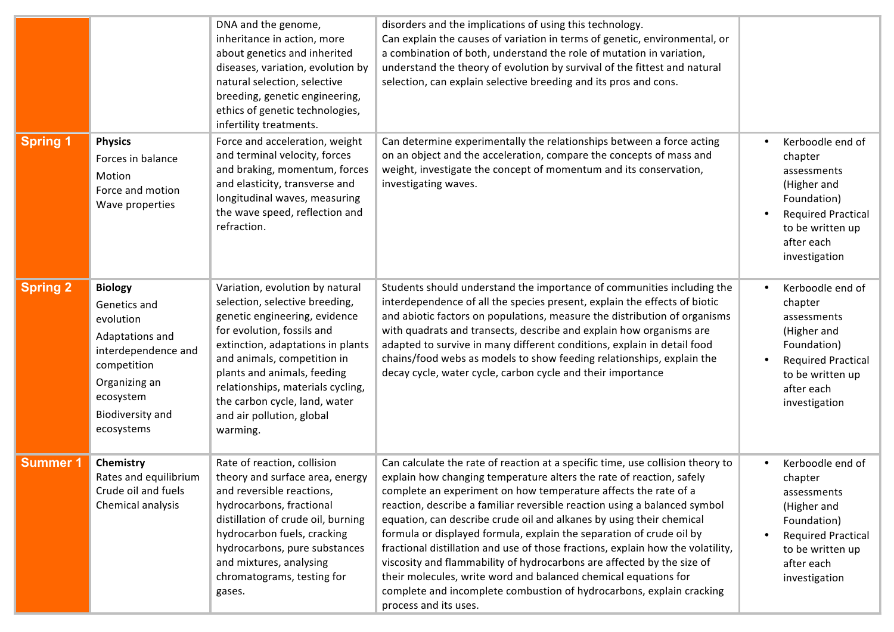|                 |                                                                                                                                                                      | DNA and the genome,<br>inheritance in action, more<br>about genetics and inherited<br>diseases, variation, evolution by<br>natural selection, selective<br>breeding, genetic engineering,<br>ethics of genetic technologies,<br>infertility treatments.                                                                                            | disorders and the implications of using this technology.<br>Can explain the causes of variation in terms of genetic, environmental, or<br>a combination of both, understand the role of mutation in variation,<br>understand the theory of evolution by survival of the fittest and natural<br>selection, can explain selective breeding and its pros and cons.                                                                                                                                                                                                                                                                                                                                                                                                                         |                                                                                                                                                          |
|-----------------|----------------------------------------------------------------------------------------------------------------------------------------------------------------------|----------------------------------------------------------------------------------------------------------------------------------------------------------------------------------------------------------------------------------------------------------------------------------------------------------------------------------------------------|-----------------------------------------------------------------------------------------------------------------------------------------------------------------------------------------------------------------------------------------------------------------------------------------------------------------------------------------------------------------------------------------------------------------------------------------------------------------------------------------------------------------------------------------------------------------------------------------------------------------------------------------------------------------------------------------------------------------------------------------------------------------------------------------|----------------------------------------------------------------------------------------------------------------------------------------------------------|
| <b>Spring 1</b> | <b>Physics</b><br>Forces in balance<br>Motion<br>Force and motion<br>Wave properties                                                                                 | Force and acceleration, weight<br>and terminal velocity, forces<br>and braking, momentum, forces<br>and elasticity, transverse and<br>longitudinal waves, measuring<br>the wave speed, reflection and<br>refraction.                                                                                                                               | Can determine experimentally the relationships between a force acting<br>on an object and the acceleration, compare the concepts of mass and<br>weight, investigate the concept of momentum and its conservation,<br>investigating waves.                                                                                                                                                                                                                                                                                                                                                                                                                                                                                                                                               | Kerboodle end of<br>chapter<br>assessments<br>(Higher and<br>Foundation)<br><b>Required Practical</b><br>to be written up<br>after each<br>investigation |
| <b>Spring 2</b> | <b>Biology</b><br>Genetics and<br>evolution<br>Adaptations and<br>interdependence and<br>competition<br>Organizing an<br>ecosystem<br>Biodiversity and<br>ecosystems | Variation, evolution by natural<br>selection, selective breeding,<br>genetic engineering, evidence<br>for evolution, fossils and<br>extinction, adaptations in plants<br>and animals, competition in<br>plants and animals, feeding<br>relationships, materials cycling,<br>the carbon cycle, land, water<br>and air pollution, global<br>warming. | Students should understand the importance of communities including the<br>interdependence of all the species present, explain the effects of biotic<br>and abiotic factors on populations, measure the distribution of organisms<br>with quadrats and transects, describe and explain how organisms are<br>adapted to survive in many different conditions, explain in detail food<br>chains/food webs as models to show feeding relationships, explain the<br>decay cycle, water cycle, carbon cycle and their importance                                                                                                                                                                                                                                                              | Kerboodle end of<br>chapter<br>assessments<br>(Higher and<br>Foundation)<br><b>Required Practical</b><br>to be written up<br>after each<br>investigation |
| <b>Summer 1</b> | Chemistry<br>Rates and equilibrium<br>Crude oil and fuels<br>Chemical analysis                                                                                       | Rate of reaction, collision<br>theory and surface area, energy<br>and reversible reactions,<br>hydrocarbons, fractional<br>distillation of crude oil, burning<br>hydrocarbon fuels, cracking<br>hydrocarbons, pure substances<br>and mixtures, analysing<br>chromatograms, testing for<br>gases.                                                   | Can calculate the rate of reaction at a specific time, use collision theory to<br>explain how changing temperature alters the rate of reaction, safely<br>complete an experiment on how temperature affects the rate of a<br>reaction, describe a familiar reversible reaction using a balanced symbol<br>equation, can describe crude oil and alkanes by using their chemical<br>formula or displayed formula, explain the separation of crude oil by<br>fractional distillation and use of those fractions, explain how the volatility,<br>viscosity and flammability of hydrocarbons are affected by the size of<br>their molecules, write word and balanced chemical equations for<br>complete and incomplete combustion of hydrocarbons, explain cracking<br>process and its uses. | Kerboodle end of<br>chapter<br>assessments<br>(Higher and<br>Foundation)<br><b>Required Practical</b><br>to be written up<br>after each<br>investigation |